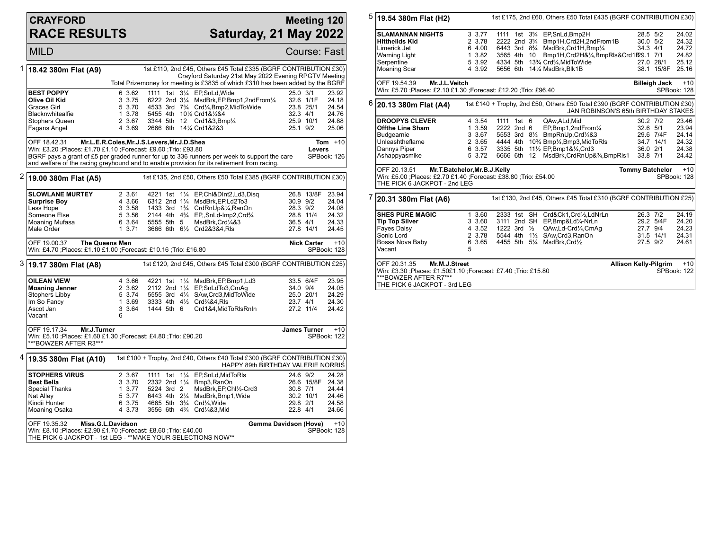## **CRAYFORD RACE RESULTS**

## **Meeting 120 Saturday, 21 May 2022**

**MILD** Course: Fast

|   | 1   18.42 380 m Flat (A9)                                                                                                                              |                                                                                                                                         |            |  | 1st £110, 2nd £45, Others £45 Total £335 (BGRF CONTRIBUTION £30)                                                |              |            |             |  |  |  |
|---|--------------------------------------------------------------------------------------------------------------------------------------------------------|-----------------------------------------------------------------------------------------------------------------------------------------|------------|--|-----------------------------------------------------------------------------------------------------------------|--------------|------------|-------------|--|--|--|
|   |                                                                                                                                                        | Crayford Saturday 21st May 2022 Evening RPGTV Meeting<br>Total Prizemoney for meeting is £3835 of which £310 has been added by the BGRF |            |  |                                                                                                                 |              |            |             |  |  |  |
|   | <b>BEST POPPY</b>                                                                                                                                      | 6 3.62                                                                                                                                  |            |  | 1111 1st 31/4 EP, SnLd, Wide                                                                                    | 25.0 3/1     |            | 23.92       |  |  |  |
|   | Olive Oil Kid                                                                                                                                          | 3 3.75                                                                                                                                  |            |  | 6222 2nd 31/4 MsdBrk, EP, Bmp1, 2nd From 1/4                                                                    |              | 32.6 1/1F  | 24.18       |  |  |  |
|   | Graces Girl                                                                                                                                            | 5 3.70                                                                                                                                  |            |  | 4533 3rd 7 <sup>3</sup> / <sub>4</sub> Crd <sup>1</sup> / <sub>4</sub> , Bmp2, MidToWide                        |              | 23.8 25/1  | 24.54       |  |  |  |
|   | Blacknwhitealfie                                                                                                                                       | 1 3.78                                                                                                                                  |            |  | 5455 4th 101/2 Crd1&1/4&4                                                                                       | 32.3 4/1     |            | 24.76       |  |  |  |
|   | Stophers Queen                                                                                                                                         | 2 3.67                                                                                                                                  |            |  | 3344 5th 12 Crd1&3, Bmp1/4                                                                                      |              | 25.9 10/1  | 24.88       |  |  |  |
|   | Fagans Angel                                                                                                                                           | 4 3.69                                                                                                                                  |            |  | 2666 6th 141/4 Crd1&2&3                                                                                         | 25.1 9/2     |            | 25.06       |  |  |  |
|   | OFF 18.42.31                                                                                                                                           | Mr.L.E.R.Coles, Mr.J.S.Levers, Mr.J.D.Shea                                                                                              |            |  |                                                                                                                 |              |            | Tom $+10$   |  |  |  |
|   | Win: £3.20 ;Places: £1.70 £1.10 ;Forecast: £9.60 ;Trio: £93.80                                                                                         |                                                                                                                                         |            |  |                                                                                                                 |              | Levers     |             |  |  |  |
|   |                                                                                                                                                        |                                                                                                                                         |            |  | BGRF pays a grant of £5 per graded runner for up to 336 runners per week to support the care                    |              |            | SPBook: 126 |  |  |  |
|   |                                                                                                                                                        |                                                                                                                                         |            |  | and welfare of the racing greyhound and to enable provision for its retirement from racing.                     |              |            |             |  |  |  |
|   |                                                                                                                                                        |                                                                                                                                         |            |  |                                                                                                                 |              |            |             |  |  |  |
| 2 | 1st £135, 2nd £50, Others £50 Total £385 (BGRF CONTRIBUTION £30)<br>19.00 380m Flat (A5)                                                               |                                                                                                                                         |            |  |                                                                                                                 |              |            |             |  |  |  |
|   | <b>SLOWLANE MURTEY</b>                                                                                                                                 | 2 3.61                                                                                                                                  |            |  | 4221 1st 11/4 EP, Chl&DInt2, Ld3, Disq                                                                          |              | 26.8 13/8F | 23.94       |  |  |  |
|   | <b>Surprise Boy</b>                                                                                                                                    | 4 3.66                                                                                                                                  |            |  | 6312 2nd 11/4 MsdBrk.EP.Ld2To3                                                                                  | $30.9$ $9/2$ |            | 24.04       |  |  |  |
|   | Less Hope                                                                                                                                              | 3 3.58                                                                                                                                  |            |  | 1433 3rd 1 <sup>3</sup> / <sub>4</sub> CrdRnUp& <sup>1</sup> / <sub>4</sub> , RanOn                             | 28.3 9/2     |            | 24.08       |  |  |  |
|   | Someone Else                                                                                                                                           | 5 3.56                                                                                                                                  |            |  | 2144 4th 4 <sup>3</sup> / <sub>4</sub> EP., SnLd-Imp2, Crd <sup>3</sup> / <sub>4</sub>                          |              | 28.8 11/4  | 24.32       |  |  |  |
|   | Moaning Mufasa                                                                                                                                         | 6 3.64                                                                                                                                  | 5555 5th 5 |  | MsdBrk.Crd1/4&3                                                                                                 | 36.5 4/1     |            | 24.33       |  |  |  |
|   | Male Order                                                                                                                                             | 1, 3.71                                                                                                                                 |            |  | 3666 6th 61/2 Crd2&3&4.RIs                                                                                      |              | 27.8 14/1  | 24.45       |  |  |  |
|   |                                                                                                                                                        |                                                                                                                                         |            |  |                                                                                                                 |              |            |             |  |  |  |
|   | OFF 19.00.37<br><b>The Queens Men</b><br><b>Nick Carter</b><br>$+10$<br>Win: £4.70 ;Places: £1.10 £1.00 ;Forecast: £10.16 ;Trio: £16.80<br>SPBook: 128 |                                                                                                                                         |            |  |                                                                                                                 |              |            |             |  |  |  |
|   | 3 19.17 380m Flat (A8)                                                                                                                                 | 1st £120, 2nd £45, Others £45 Total £300 (BGRF CONTRIBUTION £25)                                                                        |            |  |                                                                                                                 |              |            |             |  |  |  |
|   | <b>OILEAN VIEW</b>                                                                                                                                     | 4 3.66                                                                                                                                  |            |  | 4221 1st 11/4 MsdBrk, EP, Bmp1, Ld3                                                                             |              | 33.5 6/4F  | 23.95       |  |  |  |
|   | <b>Moaning Jenner</b>                                                                                                                                  | 2 3.62                                                                                                                                  |            |  | 2112 2nd 11/4 EP, SnLdTo 3, CmAq                                                                                | 34.0 9/4     |            | 24.05       |  |  |  |
|   | Stophers Libby                                                                                                                                         | 5 3.74                                                                                                                                  |            |  | 5555 3rd 41/4 SAw, Crd3, MidTo Wide                                                                             |              | 25.0 20/1  | 24.29       |  |  |  |
|   | Im So Fancy                                                                                                                                            | 1 3.69                                                                                                                                  |            |  | 3333 4th 41/2 Crd3/4&4.RIs                                                                                      | 23.7 4/1     |            | 24.30       |  |  |  |
|   | Ascot Jan                                                                                                                                              | 3 3.64                                                                                                                                  | 1444 5th 6 |  | Crd1&4,MidToRIsRnIn                                                                                             |              | 27.2 11/4  | 24.42       |  |  |  |
|   | Vacant                                                                                                                                                 | 6                                                                                                                                       |            |  |                                                                                                                 |              |            |             |  |  |  |
|   |                                                                                                                                                        | $+10$                                                                                                                                   |            |  |                                                                                                                 |              |            |             |  |  |  |
|   |                                                                                                                                                        | OFF 19.17.34<br>Mr.J.Turner<br><b>James Turner</b>                                                                                      |            |  |                                                                                                                 |              |            |             |  |  |  |
|   | Win: £5.10 ;Places: £1.60 £1.30 ;Forecast: £4.80 ;Trio: £90.20<br>SPBook: 122<br>***BOWZER AFTER R3***                                                 |                                                                                                                                         |            |  |                                                                                                                 |              |            |             |  |  |  |
|   | $^4$  19.35 380m Flat (A10)                                                                                                                            |                                                                                                                                         |            |  | 1st £100 + Trophy, 2nd £40, Others £40 Total £300 (BGRF CONTRIBUTION £30)<br>HAPPY 89th BIRTHDAY VALERIE NORRIS |              |            |             |  |  |  |
|   | <b>STOPHERS VIRUS</b>                                                                                                                                  | 2 3.67                                                                                                                                  |            |  | 1111 1st 11/4 EP, SnLd, MidToRIs                                                                                | 24.6 9/2     |            | 24.28       |  |  |  |
|   | <b>Best Bella</b>                                                                                                                                      | 3 3.70                                                                                                                                  |            |  | 2332 2nd 11/4 Bmp3, RanOn                                                                                       |              | 26.6 15/8F | 24.38       |  |  |  |
|   | Special Thanks                                                                                                                                         | 1 3.77                                                                                                                                  | 5224 3rd 2 |  | MsdBrk, EP, Chl1/2-Crd3                                                                                         | 30.8 7/1     |            | 24.44       |  |  |  |
|   | Nat Alley                                                                                                                                              | 5 3.77                                                                                                                                  |            |  | 6443 4th 21/4 MsdBrk, Bmp1, Wide                                                                                |              | 30.2 10/1  | 24.46       |  |  |  |
|   | Kindii Hunter                                                                                                                                          | 6 3.75                                                                                                                                  |            |  | 4665 5th 3 <sup>3</sup> / <sub>4</sub> Crd <sup>1</sup> / <sub>4</sub> . Wide                                   | 29.8 2/1     |            | 24.58       |  |  |  |
|   | Moaning Osaka                                                                                                                                          | 4 3.73                                                                                                                                  |            |  | 3556 6th 43/4 Crd1/4&3, Mid                                                                                     | 22.8 4/1     |            | 24.66       |  |  |  |
|   | Miss.G.L.Davidson<br>Gemma Davidson (Hove)                                                                                                             |                                                                                                                                         |            |  |                                                                                                                 |              |            |             |  |  |  |
|   |                                                                                                                                                        |                                                                                                                                         |            |  |                                                                                                                 |              |            |             |  |  |  |
|   | OFF 19.35.32                                                                                                                                           |                                                                                                                                         |            |  |                                                                                                                 |              |            | $+10$       |  |  |  |
|   | Win: £8.10 ; Places: £2.90 £1.70 ; Forecast: £8.60 ; Trio: £40.00<br>THE PICK 6 JACKPOT - 1st LEG - **MAKE YOUR SELECTIONS NOW**                       |                                                                                                                                         |            |  |                                                                                                                 |              |            | SPBook: 128 |  |  |  |

| 5                                                                                                                                             | 19.54 380m Flat (H2)                                                                                                                            | 1st £175, 2nd £60, Others £50 Total £435 (BGRF CONTRIBUTION £30) |        |                        |  |  |                                                                                        |                                       |              |                        |                      |
|-----------------------------------------------------------------------------------------------------------------------------------------------|-------------------------------------------------------------------------------------------------------------------------------------------------|------------------------------------------------------------------|--------|------------------------|--|--|----------------------------------------------------------------------------------------|---------------------------------------|--------------|------------------------|----------------------|
|                                                                                                                                               | <b>SLAMANNAN NIGHTS</b>                                                                                                                         |                                                                  | 3 3.77 |                        |  |  | 1111 1st 3 <sup>3</sup> / <sub>4</sub> EP, SnLd, Bmp2H                                 |                                       | 28.5 5/2     |                        | 24.02                |
|                                                                                                                                               | <b>Hitthelids Kid</b>                                                                                                                           |                                                                  | 2 3.78 |                        |  |  | 2222 2nd 3 <sup>3</sup> /4 Bmp1H, Crd2H, 2nd From 1B                                   |                                       | $30.0$ $5/2$ |                        | 24.32                |
|                                                                                                                                               | Limerick Jet                                                                                                                                    |                                                                  | 6 4.00 |                        |  |  | 6443 3rd 8 <sup>3</sup> / <sub>4</sub> MsdBrk, Crd1H, Bmp <sup>1</sup> / <sub>4</sub>  |                                       | 34.3 4/1     |                        | 24.72                |
|                                                                                                                                               | <b>Warning Light</b>                                                                                                                            |                                                                  | 13.82  | 3565 4th 10            |  |  | Bmp1H,Crd2H&1/ <sub>4</sub> ,BmpRIs&Crd1E29.1 7/1                                      |                                       |              |                        | 24.82                |
|                                                                                                                                               | Serpentine                                                                                                                                      |                                                                  | 5 3.92 |                        |  |  | 4334 5th 13 <sup>3</sup> / <sub>4</sub> Crd <sup>3</sup> / <sub>4</sub> . MidToWide    |                                       | 27.0 28/1    |                        | 25.12                |
|                                                                                                                                               |                                                                                                                                                 |                                                                  | 4 3.92 |                        |  |  |                                                                                        |                                       |              | 38.1 15/8F             | 25.16                |
|                                                                                                                                               | Moaning Scar                                                                                                                                    |                                                                  |        |                        |  |  | 5656 6th 141/4 MsdBrk, Blk1B                                                           |                                       |              |                        |                      |
|                                                                                                                                               | OFF 19.54.39<br>Mr.J.L.Veitch<br>Win: £5.70 ;Places: £2.10 £1.30 ;Forecast: £12.20 ;Trio: £96.40                                                |                                                                  |        |                        |  |  |                                                                                        |                                       |              | Billeigh Jack          | $+10$<br>SPBook: 128 |
|                                                                                                                                               |                                                                                                                                                 |                                                                  |        |                        |  |  |                                                                                        |                                       |              |                        |                      |
| 6<br>1st £140 + Trophy, 2nd £50, Others £50 Total £390 (BGRF CONTRIBUTION £30)<br>20.13 380m Flat (A4)<br>JAN ROBINSON'S 65th BIRTHDAY STAKES |                                                                                                                                                 |                                                                  |        |                        |  |  |                                                                                        |                                       |              |                        |                      |
|                                                                                                                                               | <b>DROOPYS CLEVER</b>                                                                                                                           |                                                                  | 4 3.54 | 1111 1st 6             |  |  | QAw.ALd.Mid                                                                            |                                       | $30.2$ $7/2$ |                        | 23.46                |
|                                                                                                                                               | Offthe Line Sham                                                                                                                                |                                                                  | 1 3.59 | 2222 2nd 6             |  |  | EP,Bmp1,2ndFrom1/4                                                                     |                                       | 32.6 5/1     |                        | 23.94                |
|                                                                                                                                               | Budgearnie                                                                                                                                      |                                                                  | 3 3.67 |                        |  |  | 5553 3rd 81/2 BmpRnUp, Crd1/4&3                                                        |                                       | 29.6 7/4F    |                        | 24.14                |
|                                                                                                                                               | Unleashtheflame                                                                                                                                 |                                                                  | 2 3.65 |                        |  |  | 4444 4th 10 <sup>3</sup> / <sub>4</sub> Bmp <sup>1</sup> / <sub>4</sub> ,Bmp3,MidToRIs |                                       | 34.7 14/1    |                        | 24.32                |
|                                                                                                                                               | Dannys Piper                                                                                                                                    |                                                                  | 6 3.57 |                        |  |  | 3335 5th 111/2 EP, Bmp1&1/4, Crd3                                                      |                                       | 36.0 2/1     |                        | 24.38                |
|                                                                                                                                               | Ashappyasmike                                                                                                                                   |                                                                  | 5 3.72 |                        |  |  | 6666 6th 12 MsdBrk, CrdRnUp&3/4, BmpRIs1                                               |                                       | 33.8 7/1     |                        | 24.42                |
|                                                                                                                                               | OFF 20.13.51 Mr.T.Batchelor, Mr.B.J.Kelly<br>Win: £5.00 ; Places: £2.70 £1.40 ; Forecast: £38.80 ; Trio: £54.00<br>THE PICK 6 JACKPOT - 2nd LEG |                                                                  |        |                        |  |  |                                                                                        |                                       |              | <b>Tommy Batchelor</b> | $+10$<br>SPBook: 128 |
|                                                                                                                                               |                                                                                                                                                 |                                                                  |        |                        |  |  |                                                                                        |                                       |              |                        |                      |
| 7                                                                                                                                             | 1st £130, 2nd £45, Others £45 Total £310 (BGRF CONTRIBUTION £25)<br>20.31 380m Flat (A6)                                                        |                                                                  |        |                        |  |  |                                                                                        |                                       |              |                        |                      |
|                                                                                                                                               | <b>SHES PURE MAGIC</b>                                                                                                                          |                                                                  | 1 3.60 |                        |  |  | 2333 1st SH Crd&Ck1, Crd1/2, LdNrLn                                                    |                                       | 26.3 7/2     |                        | 24.19                |
|                                                                                                                                               | <b>Tip Top Silver</b>                                                                                                                           |                                                                  | 3 3.60 |                        |  |  | 3111 2nd SH EP, Bmp&Ld1/4-NrLn                                                         |                                       |              | 29.2 5/4F              | 24.20                |
|                                                                                                                                               | Fayes Daisy                                                                                                                                     |                                                                  | 4 3.52 | 1222 3rd $\frac{1}{2}$ |  |  | QAw,Ld-Crd1/4,CmAq                                                                     |                                       | 27.7 9/4     |                        | 24.23                |
|                                                                                                                                               | Sonic Lord                                                                                                                                      |                                                                  | 2 3.78 |                        |  |  | 5544 4th 11/2 SAw, Crd3, RanOn                                                         |                                       | 31.5 14/1    |                        | 24.31                |
|                                                                                                                                               | Bossa Nova Baby                                                                                                                                 |                                                                  | 6 3.65 |                        |  |  | 4455 5th 51/4 MsdBrk, Crd1/2                                                           |                                       | 27.5 9/2     |                        | 24.61                |
|                                                                                                                                               | Vacant                                                                                                                                          | 5                                                                |        |                        |  |  |                                                                                        |                                       |              |                        |                      |
|                                                                                                                                               | Mr.M.J.Street<br>OFF 20.31.35                                                                                                                   |                                                                  |        |                        |  |  |                                                                                        | <b>Allison Kelly-Pilgrim</b><br>$+10$ |              |                        |                      |
|                                                                                                                                               | Win: £3.30 ; Places: £1.50£1.10 ; Forecast: £7.40 ; Trio: £15.80                                                                                |                                                                  |        |                        |  |  |                                                                                        |                                       |              |                        | SPBook: 122          |
|                                                                                                                                               | ***BOWZER AFTER R7***                                                                                                                           |                                                                  |        |                        |  |  |                                                                                        |                                       |              |                        |                      |
|                                                                                                                                               | THE PICK 6 JACKPOT - 3rd LEG                                                                                                                    |                                                                  |        |                        |  |  |                                                                                        |                                       |              |                        |                      |